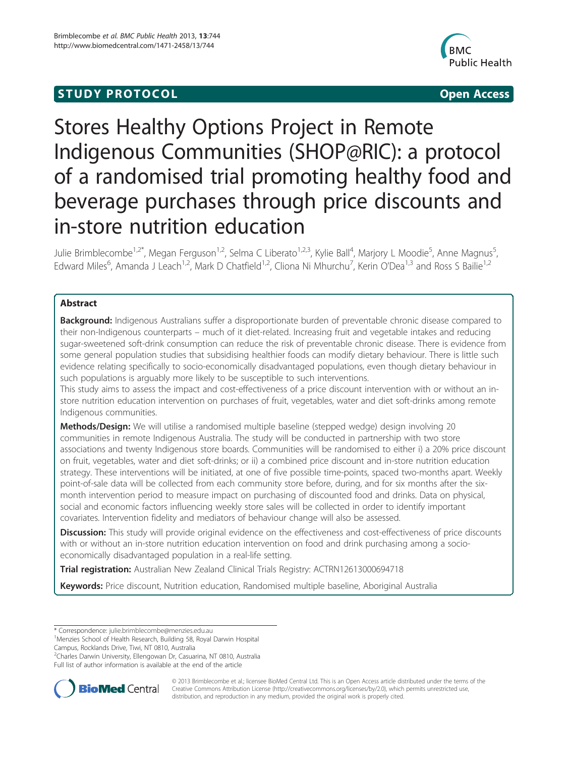## **STUDY PROTOCOL CONSUMING THE CONSUMING OPEN ACCESS**



# Stores Healthy Options Project in Remote Indigenous Communities (SHOP@RIC): a protocol of a randomised trial promoting healthy food and beverage purchases through price discounts and in-store nutrition education

Julie Brimblecombe<sup>1,2\*</sup>, Megan Ferguson<sup>1,2</sup>, Selma C Liberato<sup>1,2,3</sup>, Kylie Ball<sup>4</sup>, Marjory L Moodie<sup>5</sup>, Anne Magnus<sup>5</sup> , Edward Miles<sup>6</sup>, Amanda J Leach<sup>1,2</sup>, Mark D Chatfield<sup>1,2</sup>, Cliona Ni Mhurchu<sup>7</sup>, Kerin O'Dea<sup>1,3</sup> and Ross S Bailie<sup>1,2</sup>

## Abstract

Background: Indigenous Australians suffer a disproportionate burden of preventable chronic disease compared to their non-Indigenous counterparts – much of it diet-related. Increasing fruit and vegetable intakes and reducing sugar-sweetened soft-drink consumption can reduce the risk of preventable chronic disease. There is evidence from some general population studies that subsidising healthier foods can modify dietary behaviour. There is little such evidence relating specifically to socio-economically disadvantaged populations, even though dietary behaviour in such populations is arguably more likely to be susceptible to such interventions.

This study aims to assess the impact and cost-effectiveness of a price discount intervention with or without an instore nutrition education intervention on purchases of fruit, vegetables, water and diet soft-drinks among remote Indigenous communities.

Methods/Design: We will utilise a randomised multiple baseline (stepped wedge) design involving 20 communities in remote Indigenous Australia. The study will be conducted in partnership with two store associations and twenty Indigenous store boards. Communities will be randomised to either i) a 20% price discount on fruit, vegetables, water and diet soft-drinks; or ii) a combined price discount and in-store nutrition education strategy. These interventions will be initiated, at one of five possible time-points, spaced two-months apart. Weekly point-of-sale data will be collected from each community store before, during, and for six months after the sixmonth intervention period to measure impact on purchasing of discounted food and drinks. Data on physical, social and economic factors influencing weekly store sales will be collected in order to identify important covariates. Intervention fidelity and mediators of behaviour change will also be assessed.

Discussion: This study will provide original evidence on the effectiveness and cost-effectiveness of price discounts with or without an in-store nutrition education intervention on food and drink purchasing among a socioeconomically disadvantaged population in a real-life setting.

Trial registration: Australian New Zealand Clinical Trials Registry: [ACTRN12613000694718](https://www.anzctr.org.au/Trial/Registration/TrialReview.aspx?ACTRN=12613000694718)

Keywords: Price discount, Nutrition education, Randomised multiple baseline, Aboriginal Australia

\* Correspondence: [julie.brimblecombe@menzies.edu.au](mailto:julie.brimblecombe@menzies.edu.au) <sup>1</sup>

Menzies School of Health Research, Building 58, Royal Darwin Hospital

Campus, Rocklands Drive, Tiwi, NT 0810, Australia

<sup>2</sup>Charles Darwin University, Ellengowan Dr, Casuarina, NT 0810, Australia

Full list of author information is available at the end of the article



© 2013 Brimblecombe et al.; licensee BioMed Central Ltd. This is an Open Access article distributed under the terms of the Creative Commons Attribution License (<http://creativecommons.org/licenses/by/2.0>), which permits unrestricted use, distribution, and reproduction in any medium, provided the original work is properly cited.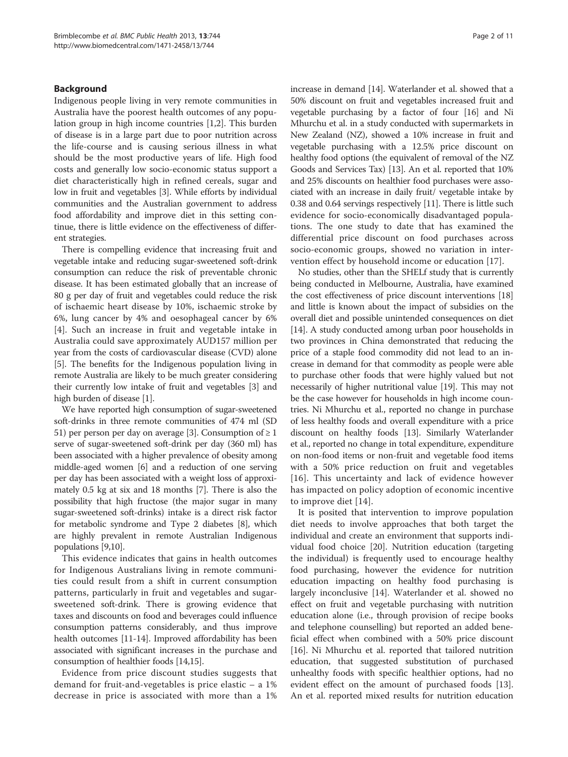## Background

Indigenous people living in very remote communities in Australia have the poorest health outcomes of any population group in high income countries [[1,2\]](#page-9-0). This burden of disease is in a large part due to poor nutrition across the life-course and is causing serious illness in what should be the most productive years of life. High food costs and generally low socio-economic status support a diet characteristically high in refined cereals, sugar and low in fruit and vegetables [[3\]](#page-9-0). While efforts by individual communities and the Australian government to address food affordability and improve diet in this setting continue, there is little evidence on the effectiveness of different strategies.

There is compelling evidence that increasing fruit and vegetable intake and reducing sugar-sweetened soft-drink consumption can reduce the risk of preventable chronic disease. It has been estimated globally that an increase of 80 g per day of fruit and vegetables could reduce the risk of ischaemic heart disease by 10%, ischaemic stroke by 6%, lung cancer by 4% and oesophageal cancer by 6% [[4\]](#page-9-0). Such an increase in fruit and vegetable intake in Australia could save approximately AUD157 million per year from the costs of cardiovascular disease (CVD) alone [[5\]](#page-9-0). The benefits for the Indigenous population living in remote Australia are likely to be much greater considering their currently low intake of fruit and vegetables [\[3\]](#page-9-0) and high burden of disease [\[1](#page-9-0)].

We have reported high consumption of sugar-sweetened soft-drinks in three remote communities of 474 ml (SD 51) per person per day on average [\[3](#page-9-0)]. Consumption of  $\geq 1$ serve of sugar-sweetened soft-drink per day (360 ml) has been associated with a higher prevalence of obesity among middle-aged women [\[6](#page-9-0)] and a reduction of one serving per day has been associated with a weight loss of approximately 0.5 kg at six and 18 months [[7](#page-9-0)]. There is also the possibility that high fructose (the major sugar in many sugar-sweetened soft-drinks) intake is a direct risk factor for metabolic syndrome and Type 2 diabetes [\[8](#page-9-0)], which are highly prevalent in remote Australian Indigenous populations [\[9,10\]](#page-9-0).

This evidence indicates that gains in health outcomes for Indigenous Australians living in remote communities could result from a shift in current consumption patterns, particularly in fruit and vegetables and sugarsweetened soft-drink. There is growing evidence that taxes and discounts on food and beverages could influence consumption patterns considerably, and thus improve health outcomes [\[11-14\]](#page-9-0). Improved affordability has been associated with significant increases in the purchase and consumption of healthier foods [\[14,15\]](#page-9-0).

Evidence from price discount studies suggests that demand for fruit-and-vegetables is price elastic – a 1% decrease in price is associated with more than a 1% increase in demand [\[14\]](#page-9-0). Waterlander et al. showed that a 50% discount on fruit and vegetables increased fruit and vegetable purchasing by a factor of four [[16](#page-9-0)] and Ni Mhurchu et al. in a study conducted with supermarkets in New Zealand (NZ), showed a 10% increase in fruit and vegetable purchasing with a 12.5% price discount on healthy food options (the equivalent of removal of the NZ Goods and Services Tax) [[13](#page-9-0)]. An et al. reported that 10% and 25% discounts on healthier food purchases were associated with an increase in daily fruit/ vegetable intake by 0.38 and 0.64 servings respectively [\[11\]](#page-9-0). There is little such evidence for socio-economically disadvantaged populations. The one study to date that has examined the differential price discount on food purchases across socio-economic groups, showed no variation in intervention effect by household income or education [\[17](#page-9-0)].

No studies, other than the SHELf study that is currently being conducted in Melbourne, Australia, have examined the cost effectiveness of price discount interventions [[18](#page-9-0)] and little is known about the impact of subsidies on the overall diet and possible unintended consequences on diet [[14](#page-9-0)]. A study conducted among urban poor households in two provinces in China demonstrated that reducing the price of a staple food commodity did not lead to an increase in demand for that commodity as people were able to purchase other foods that were highly valued but not necessarily of higher nutritional value [\[19\]](#page-9-0). This may not be the case however for households in high income countries. Ni Mhurchu et al., reported no change in purchase of less healthy foods and overall expenditure with a price discount on healthy foods [[13](#page-9-0)]. Similarly Waterlander et al., reported no change in total expenditure, expenditure on non-food items or non-fruit and vegetable food items with a 50% price reduction on fruit and vegetables [[16](#page-9-0)]. This uncertainty and lack of evidence however has impacted on policy adoption of economic incentive to improve diet [[14\]](#page-9-0).

It is posited that intervention to improve population diet needs to involve approaches that both target the individual and create an environment that supports individual food choice [\[20](#page-9-0)]. Nutrition education (targeting the individual) is frequently used to encourage healthy food purchasing, however the evidence for nutrition education impacting on healthy food purchasing is largely inconclusive [\[14](#page-9-0)]. Waterlander et al. showed no effect on fruit and vegetable purchasing with nutrition education alone (i.e., through provision of recipe books and telephone counselling) but reported an added beneficial effect when combined with a 50% price discount [[16\]](#page-9-0). Ni Mhurchu et al. reported that tailored nutrition education, that suggested substitution of purchased unhealthy foods with specific healthier options, had no evident effect on the amount of purchased foods [\[13](#page-9-0)]. An et al. reported mixed results for nutrition education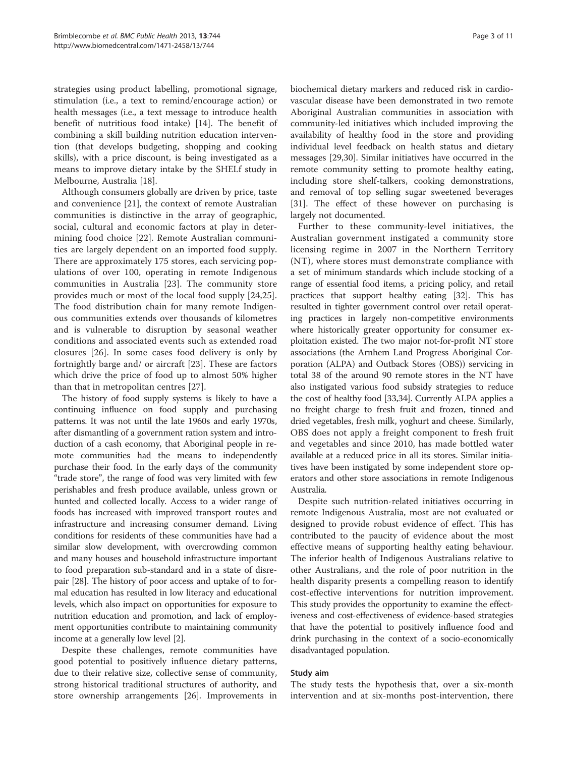strategies using product labelling, promotional signage, stimulation (i.e., a text to remind/encourage action) or health messages (i.e., a text message to introduce health benefit of nutritious food intake) [[14\]](#page-9-0). The benefit of combining a skill building nutrition education intervention (that develops budgeting, shopping and cooking skills), with a price discount, is being investigated as a means to improve dietary intake by the SHELf study in Melbourne, Australia [[18\]](#page-9-0).

Although consumers globally are driven by price, taste and convenience [\[21](#page-9-0)], the context of remote Australian communities is distinctive in the array of geographic, social, cultural and economic factors at play in determining food choice [[22\]](#page-9-0). Remote Australian communities are largely dependent on an imported food supply. There are approximately 175 stores, each servicing populations of over 100, operating in remote Indigenous communities in Australia [\[23](#page-9-0)]. The community store provides much or most of the local food supply [[24,25](#page-9-0)]. The food distribution chain for many remote Indigenous communities extends over thousands of kilometres and is vulnerable to disruption by seasonal weather conditions and associated events such as extended road closures [[26\]](#page-9-0). In some cases food delivery is only by fortnightly barge and/ or aircraft [\[23](#page-9-0)]. These are factors which drive the price of food up to almost 50% higher than that in metropolitan centres [[27\]](#page-9-0).

The history of food supply systems is likely to have a continuing influence on food supply and purchasing patterns. It was not until the late 1960s and early 1970s, after dismantling of a government ration system and introduction of a cash economy, that Aboriginal people in remote communities had the means to independently purchase their food. In the early days of the community "trade store", the range of food was very limited with few perishables and fresh produce available, unless grown or hunted and collected locally. Access to a wider range of foods has increased with improved transport routes and infrastructure and increasing consumer demand. Living conditions for residents of these communities have had a similar slow development, with overcrowding common and many houses and household infrastructure important to food preparation sub-standard and in a state of disrepair [\[28](#page-9-0)]. The history of poor access and uptake of to formal education has resulted in low literacy and educational levels, which also impact on opportunities for exposure to nutrition education and promotion, and lack of employment opportunities contribute to maintaining community income at a generally low level [[2](#page-9-0)].

Despite these challenges, remote communities have good potential to positively influence dietary patterns, due to their relative size, collective sense of community, strong historical traditional structures of authority, and store ownership arrangements [\[26\]](#page-9-0). Improvements in biochemical dietary markers and reduced risk in cardiovascular disease have been demonstrated in two remote Aboriginal Australian communities in association with community-led initiatives which included improving the availability of healthy food in the store and providing individual level feedback on health status and dietary messages [[29](#page-9-0),[30](#page-9-0)]. Similar initiatives have occurred in the remote community setting to promote healthy eating, including store shelf-talkers, cooking demonstrations, and removal of top selling sugar sweetened beverages [[31\]](#page-9-0). The effect of these however on purchasing is largely not documented.

Further to these community-level initiatives, the Australian government instigated a community store licensing regime in 2007 in the Northern Territory (NT), where stores must demonstrate compliance with a set of minimum standards which include stocking of a range of essential food items, a pricing policy, and retail practices that support healthy eating [\[32\]](#page-9-0). This has resulted in tighter government control over retail operating practices in largely non-competitive environments where historically greater opportunity for consumer exploitation existed. The two major not-for-profit NT store associations (the Arnhem Land Progress Aboriginal Corporation (ALPA) and Outback Stores (OBS)) servicing in total 38 of the around 90 remote stores in the NT have also instigated various food subsidy strategies to reduce the cost of healthy food [\[33,34](#page-9-0)]. Currently ALPA applies a no freight charge to fresh fruit and frozen, tinned and dried vegetables, fresh milk, yoghurt and cheese. Similarly, OBS does not apply a freight component to fresh fruit and vegetables and since 2010, has made bottled water available at a reduced price in all its stores. Similar initiatives have been instigated by some independent store operators and other store associations in remote Indigenous Australia.

Despite such nutrition-related initiatives occurring in remote Indigenous Australia, most are not evaluated or designed to provide robust evidence of effect. This has contributed to the paucity of evidence about the most effective means of supporting healthy eating behaviour. The inferior health of Indigenous Australians relative to other Australians, and the role of poor nutrition in the health disparity presents a compelling reason to identify cost-effective interventions for nutrition improvement. This study provides the opportunity to examine the effectiveness and cost-effectiveness of evidence-based strategies that have the potential to positively influence food and drink purchasing in the context of a socio-economically disadvantaged population.

#### Study aim

The study tests the hypothesis that, over a six-month intervention and at six-months post-intervention, there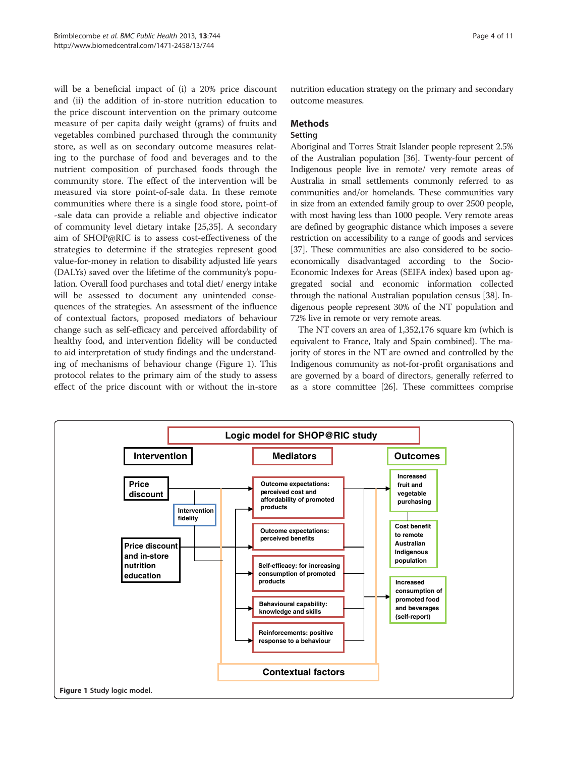<span id="page-3-0"></span>will be a beneficial impact of (i) a 20% price discount and (ii) the addition of in-store nutrition education to the price discount intervention on the primary outcome measure of per capita daily weight (grams) of fruits and vegetables combined purchased through the community store, as well as on secondary outcome measures relating to the purchase of food and beverages and to the nutrient composition of purchased foods through the community store. The effect of the intervention will be measured via store point-of-sale data. In these remote communities where there is a single food store, point-of -sale data can provide a reliable and objective indicator of community level dietary intake [[25,35\]](#page-9-0). A secondary aim of SHOP@RIC is to assess cost-effectiveness of the strategies to determine if the strategies represent good value-for-money in relation to disability adjusted life years (DALYs) saved over the lifetime of the community's population. Overall food purchases and total diet/ energy intake will be assessed to document any unintended consequences of the strategies. An assessment of the influence of contextual factors, proposed mediators of behaviour change such as self-efficacy and perceived affordability of healthy food, and intervention fidelity will be conducted to aid interpretation of study findings and the understanding of mechanisms of behaviour change (Figure 1). This protocol relates to the primary aim of the study to assess effect of the price discount with or without the in-store nutrition education strategy on the primary and secondary outcome measures.

## **Methods**

#### Setting

Aboriginal and Torres Strait Islander people represent 2.5% of the Australian population [\[36](#page-9-0)]. Twenty-four percent of Indigenous people live in remote/ very remote areas of Australia in small settlements commonly referred to as communities and/or homelands. These communities vary in size from an extended family group to over 2500 people, with most having less than 1000 people. Very remote areas are defined by geographic distance which imposes a severe restriction on accessibility to a range of goods and services [[37](#page-9-0)]. These communities are also considered to be socioeconomically disadvantaged according to the Socio-Economic Indexes for Areas (SEIFA index) based upon aggregated social and economic information collected through the national Australian population census [\[38\]](#page-10-0). Indigenous people represent 30% of the NT population and 72% live in remote or very remote areas.

The NT covers an area of 1,352,176 square km (which is equivalent to France, Italy and Spain combined). The majority of stores in the NT are owned and controlled by the Indigenous community as not-for-profit organisations and are governed by a board of directors, generally referred to as a store committee [[26](#page-9-0)]. These committees comprise

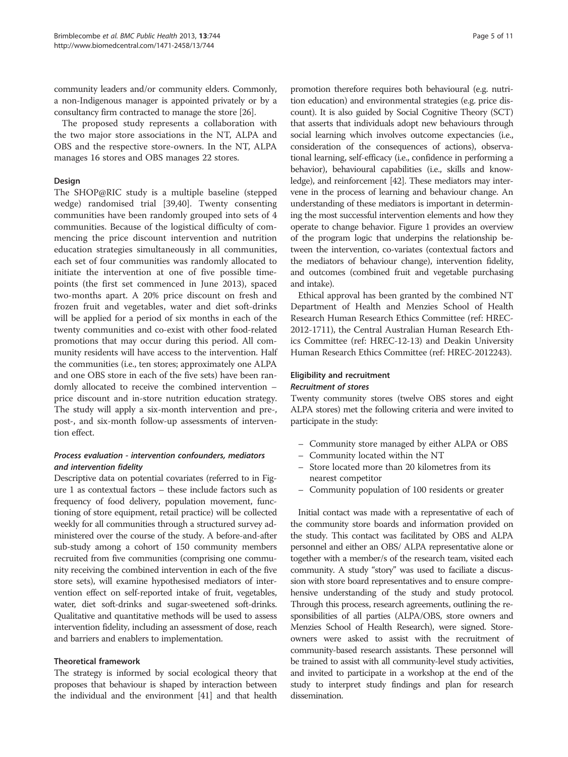community leaders and/or community elders. Commonly, a non-Indigenous manager is appointed privately or by a consultancy firm contracted to manage the store [\[26](#page-9-0)].

The proposed study represents a collaboration with the two major store associations in the NT, ALPA and OBS and the respective store-owners. In the NT, ALPA manages 16 stores and OBS manages 22 stores.

## Design

The SHOP@RIC study is a multiple baseline (stepped wedge) randomised trial [\[39,40\]](#page-10-0). Twenty consenting communities have been randomly grouped into sets of 4 communities. Because of the logistical difficulty of commencing the price discount intervention and nutrition education strategies simultaneously in all communities, each set of four communities was randomly allocated to initiate the intervention at one of five possible timepoints (the first set commenced in June 2013), spaced two-months apart. A 20% price discount on fresh and frozen fruit and vegetables, water and diet soft-drinks will be applied for a period of six months in each of the twenty communities and co-exist with other food-related promotions that may occur during this period. All community residents will have access to the intervention. Half the communities (i.e., ten stores; approximately one ALPA and one OBS store in each of the five sets) have been randomly allocated to receive the combined intervention – price discount and in-store nutrition education strategy. The study will apply a six-month intervention and pre-, post-, and six-month follow-up assessments of intervention effect.

## Process evaluation - intervention confounders, mediators and intervention fidelity

Descriptive data on potential covariates (referred to in Figure [1](#page-3-0) as contextual factors – these include factors such as frequency of food delivery, population movement, functioning of store equipment, retail practice) will be collected weekly for all communities through a structured survey administered over the course of the study. A before-and-after sub-study among a cohort of 150 community members recruited from five communities (comprising one community receiving the combined intervention in each of the five store sets), will examine hypothesised mediators of intervention effect on self-reported intake of fruit, vegetables, water, diet soft-drinks and sugar-sweetened soft-drinks. Qualitative and quantitative methods will be used to assess intervention fidelity, including an assessment of dose, reach and barriers and enablers to implementation.

#### Theoretical framework

The strategy is informed by social ecological theory that proposes that behaviour is shaped by interaction between the individual and the environment [\[41\]](#page-10-0) and that health

promotion therefore requires both behavioural (e.g. nutrition education) and environmental strategies (e.g. price discount). It is also guided by Social Cognitive Theory (SCT) that asserts that individuals adopt new behaviours through social learning which involves outcome expectancies (i.e., consideration of the consequences of actions), observational learning, self-efficacy (i.e., confidence in performing a behavior), behavioural capabilities (i.e., skills and knowledge), and reinforcement [[42](#page-10-0)]. These mediators may intervene in the process of learning and behaviour change. An understanding of these mediators is important in determining the most successful intervention elements and how they operate to change behavior. Figure [1](#page-3-0) provides an overview of the program logic that underpins the relationship between the intervention, co-variates (contextual factors and the mediators of behaviour change), intervention fidelity, and outcomes (combined fruit and vegetable purchasing and intake).

Ethical approval has been granted by the combined NT Department of Health and Menzies School of Health Research Human Research Ethics Committee (ref: HREC-2012-1711), the Central Australian Human Research Ethics Committee (ref: HREC-12-13) and Deakin University Human Research Ethics Committee (ref: HREC-2012243).

## Eligibility and recruitment Recruitment of stores

Twenty community stores (twelve OBS stores and eight ALPA stores) met the following criteria and were invited to participate in the study:

- Community store managed by either ALPA or OBS
- Community located within the NT
- Store located more than 20 kilometres from its nearest competitor
- Community population of 100 residents or greater

Initial contact was made with a representative of each of the community store boards and information provided on the study. This contact was facilitated by OBS and ALPA personnel and either an OBS/ ALPA representative alone or together with a member/s of the research team, visited each community. A study "story" was used to faciliate a discussion with store board representatives and to ensure comprehensive understanding of the study and study protocol. Through this process, research agreements, outlining the responsibilities of all parties (ALPA/OBS, store owners and Menzies School of Health Research), were signed. Storeowners were asked to assist with the recruitment of community-based research assistants. These personnel will be trained to assist with all community-level study activities, and invited to participate in a workshop at the end of the study to interpret study findings and plan for research dissemination.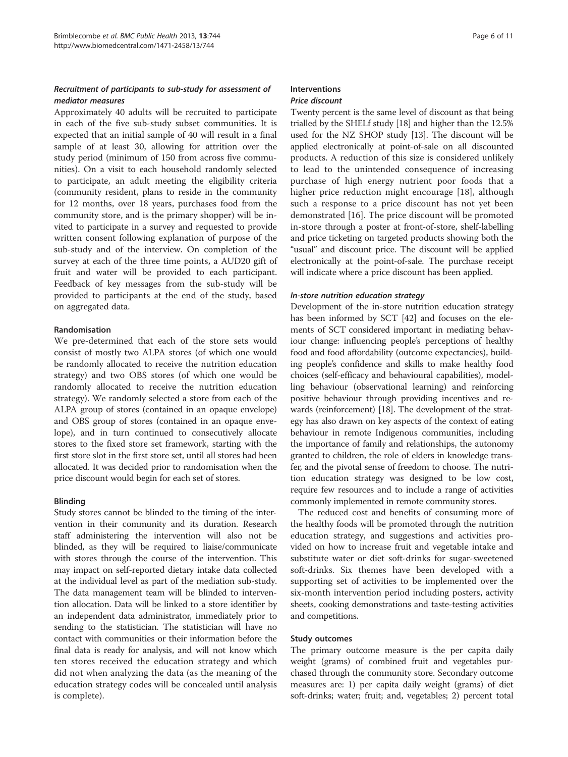## Recruitment of participants to sub-study for assessment of mediator measures

Approximately 40 adults will be recruited to participate in each of the five sub-study subset communities. It is expected that an initial sample of 40 will result in a final sample of at least 30, allowing for attrition over the study period (minimum of 150 from across five communities). On a visit to each household randomly selected to participate, an adult meeting the eligibility criteria (community resident, plans to reside in the community for 12 months, over 18 years, purchases food from the community store, and is the primary shopper) will be invited to participate in a survey and requested to provide written consent following explanation of purpose of the sub-study and of the interview. On completion of the survey at each of the three time points, a AUD20 gift of fruit and water will be provided to each participant. Feedback of key messages from the sub-study will be provided to participants at the end of the study, based on aggregated data.

## Randomisation

We pre-determined that each of the store sets would consist of mostly two ALPA stores (of which one would be randomly allocated to receive the nutrition education strategy) and two OBS stores (of which one would be randomly allocated to receive the nutrition education strategy). We randomly selected a store from each of the ALPA group of stores (contained in an opaque envelope) and OBS group of stores (contained in an opaque envelope), and in turn continued to consecutively allocate stores to the fixed store set framework, starting with the first store slot in the first store set, until all stores had been allocated. It was decided prior to randomisation when the price discount would begin for each set of stores.

#### Blinding

Study stores cannot be blinded to the timing of the intervention in their community and its duration. Research staff administering the intervention will also not be blinded, as they will be required to liaise/communicate with stores through the course of the intervention. This may impact on self-reported dietary intake data collected at the individual level as part of the mediation sub-study. The data management team will be blinded to intervention allocation. Data will be linked to a store identifier by an independent data administrator, immediately prior to sending to the statistician. The statistician will have no contact with communities or their information before the final data is ready for analysis, and will not know which ten stores received the education strategy and which did not when analyzing the data (as the meaning of the education strategy codes will be concealed until analysis is complete).

#### Interventions Price discount

Twenty percent is the same level of discount as that being trialled by the SHELf study [\[18\]](#page-9-0) and higher than the 12.5% used for the NZ SHOP study [\[13\]](#page-9-0). The discount will be applied electronically at point-of-sale on all discounted products. A reduction of this size is considered unlikely to lead to the unintended consequence of increasing purchase of high energy nutrient poor foods that a higher price reduction might encourage [\[18](#page-9-0)], although such a response to a price discount has not yet been demonstrated [\[16](#page-9-0)]. The price discount will be promoted in-store through a poster at front-of-store, shelf-labelling and price ticketing on targeted products showing both the "usual" and discount price. The discount will be applied electronically at the point-of-sale. The purchase receipt will indicate where a price discount has been applied.

## In-store nutrition education strategy

Development of the in-store nutrition education strategy has been informed by SCT [\[42\]](#page-10-0) and focuses on the elements of SCT considered important in mediating behaviour change: influencing people's perceptions of healthy food and food affordability (outcome expectancies), building people's confidence and skills to make healthy food choices (self-efficacy and behavioural capabilities), modelling behaviour (observational learning) and reinforcing positive behaviour through providing incentives and rewards (reinforcement) [[18](#page-9-0)]. The development of the strategy has also drawn on key aspects of the context of eating behaviour in remote Indigenous communities, including the importance of family and relationships, the autonomy granted to children, the role of elders in knowledge transfer, and the pivotal sense of freedom to choose. The nutrition education strategy was designed to be low cost, require few resources and to include a range of activities commonly implemented in remote community stores.

The reduced cost and benefits of consuming more of the healthy foods will be promoted through the nutrition education strategy, and suggestions and activities provided on how to increase fruit and vegetable intake and substitute water or diet soft-drinks for sugar-sweetened soft-drinks. Six themes have been developed with a supporting set of activities to be implemented over the six-month intervention period including posters, activity sheets, cooking demonstrations and taste-testing activities and competitions.

#### Study outcomes

The primary outcome measure is the per capita daily weight (grams) of combined fruit and vegetables purchased through the community store. Secondary outcome measures are: 1) per capita daily weight (grams) of diet soft-drinks; water; fruit; and, vegetables; 2) percent total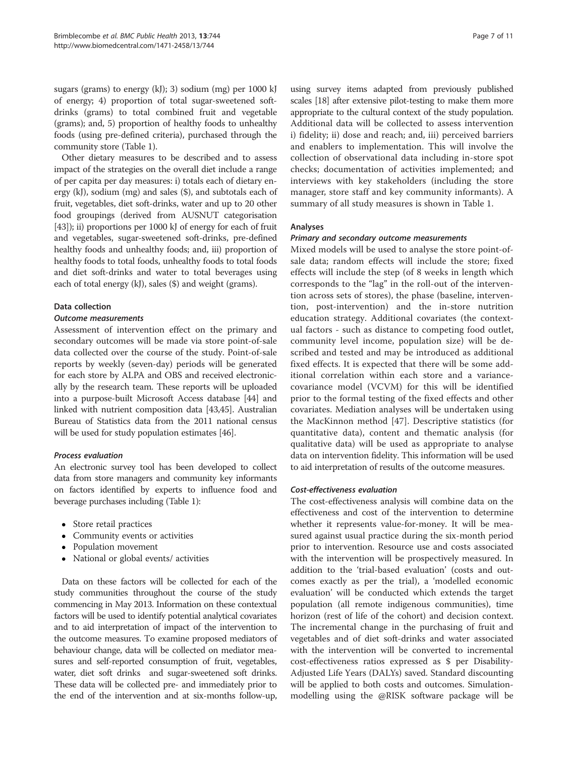sugars (grams) to energy (kJ); 3) sodium (mg) per 1000 kJ of energy; 4) proportion of total sugar-sweetened softdrinks (grams) to total combined fruit and vegetable (grams); and, 5) proportion of healthy foods to unhealthy foods (using pre-defined criteria), purchased through the community store (Table [1\)](#page-7-0).

Other dietary measures to be described and to assess impact of the strategies on the overall diet include a range of per capita per day measures: i) totals each of dietary energy (kJ), sodium (mg) and sales (\$), and subtotals each of fruit, vegetables, diet soft-drinks, water and up to 20 other food groupings (derived from AUSNUT categorisation [[43](#page-10-0)]); ii) proportions per 1000 kJ of energy for each of fruit and vegetables, sugar-sweetened soft-drinks, pre-defined healthy foods and unhealthy foods; and, iii) proportion of healthy foods to total foods, unhealthy foods to total foods and diet soft-drinks and water to total beverages using each of total energy (kJ), sales (\$) and weight (grams).

## Data collection

#### Outcome measurements

Assessment of intervention effect on the primary and secondary outcomes will be made via store point-of-sale data collected over the course of the study. Point-of-sale reports by weekly (seven-day) periods will be generated for each store by ALPA and OBS and received electronically by the research team. These reports will be uploaded into a purpose-built Microsoft Access database [[44](#page-10-0)] and linked with nutrient composition data [\[43,45](#page-10-0)]. Australian Bureau of Statistics data from the 2011 national census will be used for study population estimates [[46](#page-10-0)].

## Process evaluation

An electronic survey tool has been developed to collect data from store managers and community key informants on factors identified by experts to influence food and beverage purchases including (Table [1\)](#page-7-0):

- Store retail practices
- Community events or activities
- Population movement
- National or global events/ activities

Data on these factors will be collected for each of the study communities throughout the course of the study commencing in May 2013. Information on these contextual factors will be used to identify potential analytical covariates and to aid interpretation of impact of the intervention to the outcome measures. To examine proposed mediators of behaviour change, data will be collected on mediator measures and self-reported consumption of fruit, vegetables, water, diet soft drinks and sugar-sweetened soft drinks. These data will be collected pre- and immediately prior to the end of the intervention and at six-months follow-up,

using survey items adapted from previously published scales [\[18\]](#page-9-0) after extensive pilot-testing to make them more appropriate to the cultural context of the study population. Additional data will be collected to assess intervention i) fidelity; ii) dose and reach; and, iii) perceived barriers and enablers to implementation. This will involve the collection of observational data including in-store spot checks; documentation of activities implemented; and interviews with key stakeholders (including the store manager, store staff and key community informants). A summary of all study measures is shown in Table [1.](#page-7-0)

## Analyses

## Primary and secondary outcome measurements

Mixed models will be used to analyse the store point-ofsale data; random effects will include the store; fixed effects will include the step (of 8 weeks in length which corresponds to the "lag" in the roll-out of the intervention across sets of stores), the phase (baseline, intervention, post-intervention) and the in-store nutrition education strategy. Additional covariates (the contextual factors - such as distance to competing food outlet, community level income, population size) will be described and tested and may be introduced as additional fixed effects. It is expected that there will be some additional correlation within each store and a variancecovariance model (VCVM) for this will be identified prior to the formal testing of the fixed effects and other covariates. Mediation analyses will be undertaken using the MacKinnon method [[47\]](#page-10-0). Descriptive statistics (for quantitative data), content and thematic analysis (for qualitative data) will be used as appropriate to analyse data on intervention fidelity. This information will be used to aid interpretation of results of the outcome measures.

#### Cost-effectiveness evaluation

The cost-effectiveness analysis will combine data on the effectiveness and cost of the intervention to determine whether it represents value-for-money. It will be measured against usual practice during the six-month period prior to intervention. Resource use and costs associated with the intervention will be prospectively measured. In addition to the 'trial-based evaluation' (costs and outcomes exactly as per the trial), a 'modelled economic evaluation' will be conducted which extends the target population (all remote indigenous communities), time horizon (rest of life of the cohort) and decision context. The incremental change in the purchasing of fruit and vegetables and of diet soft-drinks and water associated with the intervention will be converted to incremental cost-effectiveness ratios expressed as \$ per Disability-Adjusted Life Years (DALYs) saved. Standard discounting will be applied to both costs and outcomes. Simulationmodelling using the @RISK software package will be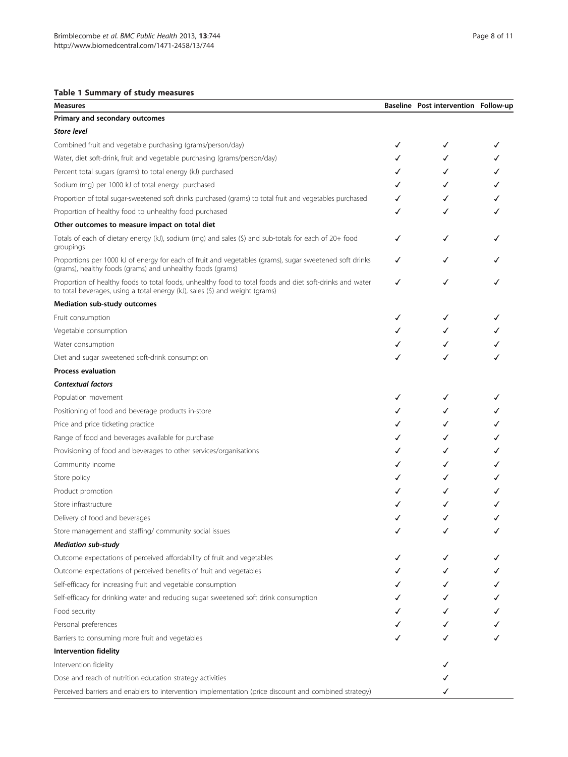## <span id="page-7-0"></span>Table 1 Summary of study measures

| Measures                                                                                                                                                                                 |   | Baseline Post intervention Follow-up |  |
|------------------------------------------------------------------------------------------------------------------------------------------------------------------------------------------|---|--------------------------------------|--|
| Primary and secondary outcomes                                                                                                                                                           |   |                                      |  |
| <b>Store level</b>                                                                                                                                                                       |   |                                      |  |
| Combined fruit and vegetable purchasing (grams/person/day)                                                                                                                               | ✓ | ✓                                    |  |
| Water, diet soft-drink, fruit and vegetable purchasing (grams/person/day)                                                                                                                |   | ✓                                    |  |
| Percent total sugars (grams) to total energy (kJ) purchased                                                                                                                              |   | ✓                                    |  |
| Sodium (mg) per 1000 kJ of total energy purchased                                                                                                                                        |   | ✓                                    |  |
| Proportion of total sugar-sweetened soft drinks purchased (grams) to total fruit and vegetables purchased                                                                                |   | ✓                                    |  |
| Proportion of healthy food to unhealthy food purchased                                                                                                                                   |   |                                      |  |
| Other outcomes to measure impact on total diet                                                                                                                                           |   |                                      |  |
| Totals of each of dietary energy (kJ), sodium (mg) and sales (\$) and sub-totals for each of 20+ food<br>groupings                                                                       | √ | √                                    |  |
| Proportions per 1000 kJ of energy for each of fruit and vegetables (grams), sugar sweetened soft drinks<br>(grams), healthy foods (grams) and unhealthy foods (grams)                    |   |                                      |  |
| Proportion of healthy foods to total foods, unhealthy food to total foods and diet soft-drinks and water<br>to total beverages, using a total energy (kJ), sales (\$) and weight (grams) | ✓ | ✓                                    |  |
| Mediation sub-study outcomes                                                                                                                                                             |   |                                      |  |
| Fruit consumption                                                                                                                                                                        |   | ✓                                    |  |
| Vegetable consumption                                                                                                                                                                    |   |                                      |  |
| Water consumption                                                                                                                                                                        |   |                                      |  |
| Diet and sugar sweetened soft-drink consumption                                                                                                                                          |   |                                      |  |
| <b>Process evaluation</b>                                                                                                                                                                |   |                                      |  |
| <b>Contextual factors</b>                                                                                                                                                                |   |                                      |  |
| Population movement                                                                                                                                                                      |   | ✓                                    |  |
| Positioning of food and beverage products in-store                                                                                                                                       |   | ✓                                    |  |
| Price and price ticketing practice                                                                                                                                                       |   | ✓                                    |  |
| Range of food and beverages available for purchase                                                                                                                                       |   |                                      |  |
| Provisioning of food and beverages to other services/organisations                                                                                                                       |   |                                      |  |
| Community income                                                                                                                                                                         |   |                                      |  |
| Store policy                                                                                                                                                                             |   |                                      |  |
| Product promotion                                                                                                                                                                        |   |                                      |  |
| Store infrastructure                                                                                                                                                                     |   |                                      |  |
| Delivery of food and beverages                                                                                                                                                           |   | ✓                                    |  |
| Store management and staffing/ community social issues                                                                                                                                   |   |                                      |  |
| <b>Mediation sub-study</b>                                                                                                                                                               |   |                                      |  |
| Outcome expectations of perceived affordability of fruit and vegetables                                                                                                                  |   |                                      |  |
| Outcome expectations of perceived benefits of fruit and vegetables                                                                                                                       |   |                                      |  |
| Self-efficacy for increasing fruit and vegetable consumption                                                                                                                             |   |                                      |  |
| Self-efficacy for drinking water and reducing sugar sweetened soft drink consumption                                                                                                     |   |                                      |  |
| Food security                                                                                                                                                                            |   |                                      |  |
| Personal preferences                                                                                                                                                                     |   |                                      |  |
| Barriers to consuming more fruit and vegetables                                                                                                                                          |   |                                      |  |
| Intervention fidelity                                                                                                                                                                    |   |                                      |  |
| Intervention fidelity                                                                                                                                                                    |   |                                      |  |
| Dose and reach of nutrition education strategy activities                                                                                                                                |   |                                      |  |
| Perceived barriers and enablers to intervention implementation (price discount and combined strategy)                                                                                    |   |                                      |  |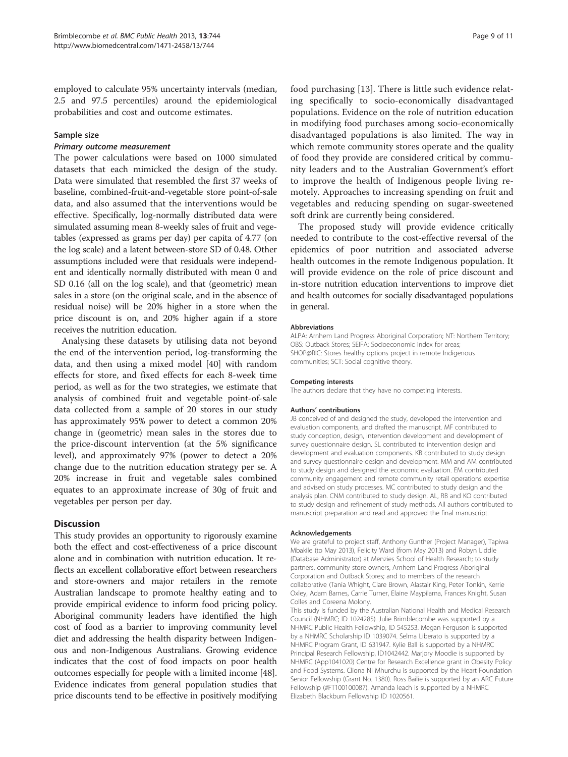employed to calculate 95% uncertainty intervals (median, 2.5 and 97.5 percentiles) around the epidemiological probabilities and cost and outcome estimates.

## Sample size

## Primary outcome measurement

The power calculations were based on 1000 simulated datasets that each mimicked the design of the study. Data were simulated that resembled the first 37 weeks of baseline, combined-fruit-and-vegetable store point-of-sale data, and also assumed that the interventions would be effective. Specifically, log-normally distributed data were simulated assuming mean 8-weekly sales of fruit and vegetables (expressed as grams per day) per capita of 4.77 (on the log scale) and a latent between-store SD of 0.48. Other assumptions included were that residuals were independent and identically normally distributed with mean 0 and SD 0.16 (all on the log scale), and that (geometric) mean sales in a store (on the original scale, and in the absence of residual noise) will be 20% higher in a store when the price discount is on, and 20% higher again if a store receives the nutrition education.

Analysing these datasets by utilising data not beyond the end of the intervention period, log-transforming the data, and then using a mixed model [\[40\]](#page-10-0) with random effects for store, and fixed effects for each 8-week time period, as well as for the two strategies, we estimate that analysis of combined fruit and vegetable point-of-sale data collected from a sample of 20 stores in our study has approximately 95% power to detect a common 20% change in (geometric) mean sales in the stores due to the price-discount intervention (at the 5% significance level), and approximately 97% (power to detect a 20% change due to the nutrition education strategy per se. A 20% increase in fruit and vegetable sales combined equates to an approximate increase of 30g of fruit and vegetables per person per day.

## **Discussion**

This study provides an opportunity to rigorously examine both the effect and cost-effectiveness of a price discount alone and in combination with nutrition education. It reflects an excellent collaborative effort between researchers and store-owners and major retailers in the remote Australian landscape to promote healthy eating and to provide empirical evidence to inform food pricing policy. Aboriginal community leaders have identified the high cost of food as a barrier to improving community level diet and addressing the health disparity between Indigenous and non-Indigenous Australians. Growing evidence indicates that the cost of food impacts on poor health outcomes especially for people with a limited income [[48](#page-10-0)]. Evidence indicates from general population studies that price discounts tend to be effective in positively modifying

food purchasing [\[13](#page-9-0)]. There is little such evidence relating specifically to socio-economically disadvantaged populations. Evidence on the role of nutrition education in modifying food purchases among socio-economically disadvantaged populations is also limited. The way in which remote community stores operate and the quality of food they provide are considered critical by community leaders and to the Australian Government's effort to improve the health of Indigenous people living remotely. Approaches to increasing spending on fruit and vegetables and reducing spending on sugar-sweetened soft drink are currently being considered.

The proposed study will provide evidence critically needed to contribute to the cost-effective reversal of the epidemics of poor nutrition and associated adverse health outcomes in the remote Indigenous population. It will provide evidence on the role of price discount and in-store nutrition education interventions to improve diet and health outcomes for socially disadvantaged populations in general.

#### Abbreviations

ALPA: Arnhem Land Progress Aboriginal Corporation; NT: Northern Territory; OBS: Outback Stores; SEIFA: Socioeconomic index for areas; SHOP@RIC: Stores healthy options project in remote Indigenous communities; SCT: Social cognitive theory.

#### Competing interests

The authors declare that they have no competing interests.

#### Authors' contributions

JB conceived of and designed the study, developed the intervention and evaluation components, and drafted the manuscript. MF contributed to study conception, design, intervention development and development of survey questionnaire design. SL contributed to intervention design and development and evaluation components. KB contributed to study design and survey questionnaire design and development. MM and AM contributed to study design and designed the economic evaluation. EM contributed community engagement and remote community retail operations expertise and advised on study processes. MC contributed to study design and the analysis plan. CNM contributed to study design. AL, RB and KO contributed to study design and refinement of study methods. All authors contributed to manuscript preparation and read and approved the final manuscript.

#### Acknowledgements

We are grateful to project staff, Anthony Gunther (Project Manager), Tapiwa Mbakile (to May 2013), Felicity Ward (from May 2013) and Robyn Liddle (Database Administrator) at Menzies School of Health Research; to study partners, community store owners, Arnhem Land Progress Aboriginal Corporation and Outback Stores; and to members of the research collaborative (Tania Whight, Clare Brown, Alastair King, Peter Tonkin, Kerrie Oxley, Adam Barnes, Carrie Turner, Elaine Maypilama, Frances Knight, Susan Colles and Coreena Molony.

This study is funded by the Australian National Health and Medical Research Council (NHMRC; ID 1024285). Julie Brimblecombe was supported by a NHMRC Public Health Fellowship, ID 545253. Megan Ferguson is supported by a NHMRC Scholarship ID 1039074. Selma Liberato is supported by a NHMRC Program Grant, ID 631947. Kylie Ball is supported by a NHMRC Principal Research Fellowship, ID1042442. Marjory Moodie is supported by NHMRC (App1041020) Centre for Research Excellence grant in Obesity Policy and Food Systems. Cliona Ni Mhurchu is supported by the Heart Foundation Senior Fellowship (Grant No. 1380). Ross Bailie is supported by an ARC Future Fellowship (#FT100100087). Amanda leach is supported by a NHMRC Elizabeth Blackburn Fellowship ID 1020561.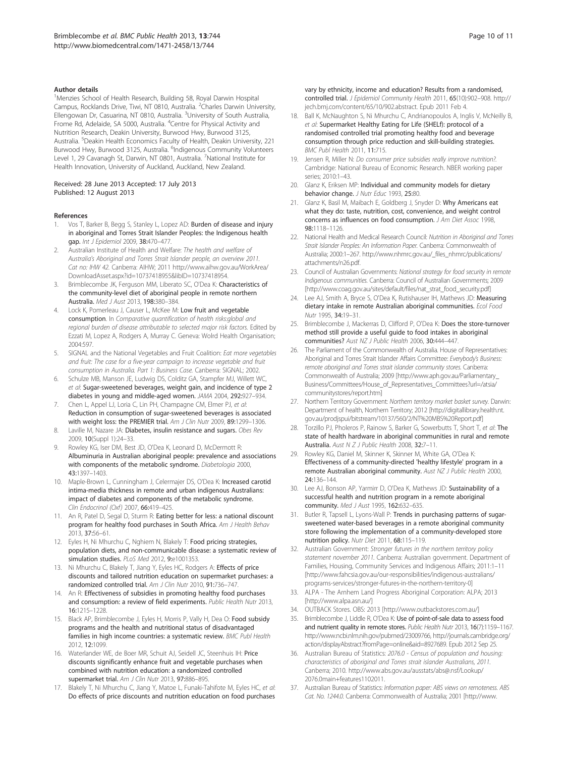#### <span id="page-9-0"></span>Author details

<sup>1</sup>Menzies School of Health Research, Building 58, Royal Darwin Hospital Campus, Rocklands Drive, Tiwi, NT 0810, Australia. <sup>2</sup>Charles Darwin University, Ellengowan Dr, Casuarina, NT 0810, Australia. <sup>3</sup>University of South Australia, Frome Rd, Adelaide, SA 5000, Australia. <sup>4</sup>Centre for Physical Activity and Nutrition Research, Deakin University, Burwood Hwy, Burwood 3125, Australia. <sup>5</sup>Deakin Health Economics Faculty of Health, Deakin University, 221 Burwood Hwy, Burwood 3125, Australia. <sup>6</sup>Indigenous Community Volunteers Level 1, 29 Cavanagh St, Darwin, NT 0801, Australia. <sup>7</sup>National Institute for Health Innovation, University of Auckland, Auckland, New Zealand.

#### Received: 28 June 2013 Accepted: 17 July 2013 Published: 12 August 2013

#### References

- 1. Vos T, Barker B, Begg S, Stanley L, Lopez AD: Burden of disease and injury in aboriginal and Torres Strait Islander Peoples: the Indigenous health gap. Int J Epidemiol 2009, 38:470-477.
- 2. Australian Institute of Health and Welfare: The health and welfare of Australia's Aboriginal and Torres Strait Islander people, an overview 2011. Cat no: IHW 42. Canberra: AIHW; 2011 [http://www.aihw.gov.au/WorkArea/](http://www.aihw.gov.au/WorkArea/DownloadAsset.aspx?id=10737418955&libID=10737418954) [DownloadAsset.aspx?id=10737418955&libID=10737418954](http://www.aihw.gov.au/WorkArea/DownloadAsset.aspx?id=10737418955&libID=10737418954).
- 3. Brimblecombe JK, Ferguson MM, Liberato SC, O'Dea K: Characteristics of the community-level diet of aboriginal people in remote northern Australia. Med J Aust 2013, 198:380–384.
- Lock K, Pomerleau J, Causer L, McKee M: Low fruit and vegetable consumption. In Comparative quantification of health risks:global and regional burden of disease attributable to selected major risk factors. Edited by Ezzati M, Lopez A, Rodgers A, Murray C. Geneva: Wolrd Health Organisation; 2004:597.
- SIGNAL and the National Vegetables and Fruit Coalition: Eat more vegetables and fruit: The case for a five-year campaign to increase vegetable and fruit consumption in Australia. Part 1: Business Case. Canberra: SIGNAL; 2002.
- 6. Schulze MB, Manson JE, Ludwig DS, Colditz GA, Stampfer MJ, Willett WC, et al: Sugar-sweetened beverages, weight gain, and incidence of type 2 diabetes in young and middle-aged women. JAMA 2004, 292:927–934.
- 7. Chen L, Appel LJ, Loria C, Lin PH, Champagne CM, Elmer PJ, et al: Reduction in consumption of sugar-sweetened beverages is associated with weight loss: the PREMIER trial. Am J Clin Nutr 2009, 89:1299-1306.
- Laville M, Nazare JA: Diabetes, insulin resistance and sugars. Obes Rev 2009, 10(Suppl 1):24–33.
- 9. Rowley KG, Iser DM, Best JD, O'Dea K, Leonard D, McDermott R: Albuminuria in Australian aboriginal people: prevalence and associations with components of the metabolic syndrome. Diabetologia 2000, 43:1397–1403.
- 10. Maple-Brown L, Cunningham J, Celermajer DS, O'Dea K: Increased carotid intima-media thickness in remote and urban indigenous Australians: impact of diabetes and components of the metabolic syndrome. Clin Endocrinol (Oxf) 2007, 66:419–425.
- 11. An R, Patel D, Segal D, Sturm R: Eating better for less: a national discount program for healthy food purchases in South Africa. Am J Health Behav 2013, 37:56–61.
- 12. Eyles H, Ni Mhurchu C, Nghiem N, Blakely T: Food pricing strategies, population diets, and non-communicable disease: a systematic review of simulation studies. PLoS Med 2012, 9:e1001353.
- 13. Ni Mhurchu C, Blakely T, Jiang Y, Eyles HC, Rodgers A: Effects of price discounts and tailored nutrition education on supermarket purchases: a randomized controlled trial. Am J Clin Nutr 2010, 91:736–747.
- 14. An R: Effectiveness of subsidies in promoting healthy food purchases and consumption: a review of field experiments. Public Health Nutr 2013, 16:1215–1228.
- 15. Black AP, Brimblecombe J, Eyles H, Morris P, Vally H, Dea O: Food subsidy programs and the health and nutritional status of disadvantaged families in high income countries: a systematic review. BMC Publ Health 2012, 12:1099.
- 16. Waterlander WE, de Boer MR, Schuit AJ, Seidell JC, Steenhuis IH: Price discounts significantly enhance fruit and vegetable purchases when combined with nutrition education: a randomized controlled supermarket trial. Am J Clin Nutr 2013, 97:886-895.
- 17. Blakely T, Ni Mhurchu C, Jiang Y, Matoe L, Funaki-Tahifote M, Eyles HC, et al: Do effects of price discounts and nutrition education on food purchases

vary by ethnicity, income and education? Results from a randomised, controlled trial. J Epidemiol Community Health 2011, 65(10):902–908. [http://](http://jech.bmj.com/content/65/10/902.abstract) [jech.bmj.com/content/65/10/902.abstract](http://jech.bmj.com/content/65/10/902.abstract). Epub 2011 Feb 4.

- 18. Ball K, McNaughton S, Ni Mhurchu C, Andrianopoulos A, Inglis V, McNeilly B, et al: Supermarket Healthy Eating for Life (SHELf): protocol of a randomised controlled trial promoting healthy food and beverage consumption through price reduction and skill-building strategies. BMC Publ Health 2011, 11:715.
- 19. Jensen R, Miller N: Do consumer price subsidies really improve nutrition?. Cambridge: National Bureau of Economic Research. NBER working paper series; 2010:1–43.
- 20. Glanz K, Eriksen MP: Individual and community models for dietary behavior change. J Nutr Educ 1993, 25:80.
- 21. Glanz K, Basil M, Maibach E, Goldberg J, Snyder D: Why Americans eat what they do: taste, nutrition, cost, convenience, and weight control concerns as influences on food consumption. J Am Diet Assoc 1998, 98:1118–1126.
- 22. National Health and Medical Research Council: Nutrition in Aboriginal and Torres Strait Islander Peoples: An Information Paper. Canberra: Commonwealth of Australia; 2000:1–267. [http://www.nhmrc.gov.au/\\_files\\_nhmrc/publications/](http://www.nhmrc.gov.au/_files_nhmrc/publications/attachments/n26.pdf) [attachments/n26.pdf](http://www.nhmrc.gov.au/_files_nhmrc/publications/attachments/n26.pdf).
- 23. Council of Australian Governments: National strategy for food security in remote Indigenous communities. Canberra: Council of Australian Governments; 2009 [[http://www.coag.gov.au/sites/default/files/nat\\_strat\\_food\\_security.pdf](http://www.coag.gov.au/sites/default/files/nat_strat_food_security.pdf)]
- 24. Lee AJ, Smith A, Bryce S, O'Dea K, Rutishauser IH, Mathews JD: Measuring dietary intake in remote Australian aboriginal communities. Ecol Food Nutr 1995, 34:19–31.
- 25. Brimblecombe J, Mackerras D, Clifford P, O'Dea K: Does the store-turnover method still provide a useful guide to food intakes in aboriginal communities? Aust NZ J Public Health 2006, 30:444–447.
- 26. The Parliament of the Commonwealth of Australia. House of Representatives: Aboriginal and Torres Strait Islander Affairs Committee: Everybody's Business: remote aboriginal and Torres strait islander community stores. Canberra: Commonwealth of Australia; 2009 [\[http://www.aph.gov.au/Parliamentary\\_](http://www.aph.gov.au/Parliamentary_Business/Committees/House_of_Representatives_Committees?url=/atsia/communitystores/report.htm) [Business/Committees/House\\_of\\_Representatives\\_Committees?url=/atsia/](http://www.aph.gov.au/Parliamentary_Business/Committees/House_of_Representatives_Committees?url=/atsia/communitystores/report.htm) [communitystores/report.htm](http://www.aph.gov.au/Parliamentary_Business/Committees/House_of_Representatives_Committees?url=/atsia/communitystores/report.htm)]
- 27. Northern Territory Government: Northern territory market basket survey. Darwin: Department of health, Northern Territory; 2012 [[http://digitallibrary.health.nt.](http://digitallibrary.health.nt.gov.au/prodjspui/bitstream/10137/560/2/NT%20MBS%20Report.pdf) [gov.au/prodjspui/bitstream/10137/560/2/NT%20MBS%20Report.pdf](http://digitallibrary.health.nt.gov.au/prodjspui/bitstream/10137/560/2/NT%20MBS%20Report.pdf)]
- 28. Torzillo PJ, Pholeros P, Rainow S, Barker G, Sowerbutts T, Short T, et al: The state of health hardware in aboriginal communities in rural and remote Australia. Aust N Z J Public Health 2008, 32:7–11.
- 29. Rowley KG, Daniel M, Skinner K, Skinner M, White GA, O'Dea K: Effectiveness of a community-directed 'healthy lifestyle' program in a remote Australian aboriginal community. Aust NZ J Public Health 2000, 24:136–144.
- 30. Lee AJ, Bonson AP, Yarmirr D, O'Dea K, Mathews JD: Sustainability of a successful health and nutrition program in a remote aboriginal community. Med J Aust 1995, 162:632–635.
- 31. Butler R, Tapsell L, Lyons-Wall P: Trends in purchasing patterns of sugarsweetened water-based beverages in a remote aboriginal community store following the implementation of a community-developed store nutrition policy. Nutr Diet 2011, 68:115–119.
- 32. Australian Government: Stronger futures in the northern territory policy statement november 2011. Canberra: Australian government. Department of Families, Housing, Community Services and Indigenous Affairs; 2011:1–11 [[http://www.fahcsia.gov.au/our-responsibilities/indigenous-australians/](http://www.fahcsia.gov.au/our-responsibilities/indigenous-australians/programs-services/stronger-futures-in-the-northern-territory-0) [programs-services/stronger-futures-in-the-northern-territory-0](http://www.fahcsia.gov.au/our-responsibilities/indigenous-australians/programs-services/stronger-futures-in-the-northern-territory-0)]
- 33. ALPA The Arnhem Land Progress Aboriginal Corporation: ALPA; 2013 [<http://www.alpa.asn.au/>]
- 34. OUTBACK Stores. OBS: 2013 [[http://www.outbackstores.com.au/\]](http://www.outbackstores.com.au/)
- 35. Brimblecombe J, Liddle R, O'Dea K: Use of point-of-sale data to assess food and nutrient quality in remote stores. Public Health Nutr 2013, 16(7):1159-1167. <http://www.ncbi.nlm.nih.gov/pubmed/23009766>, [http://journals.cambridge.org/](http://journals.cambridge.org/action/displayAbstract?fromPage=online&aid=8927689) [action/displayAbstract?fromPage=online&aid=8927689.](http://journals.cambridge.org/action/displayAbstract?fromPage=online&aid=8927689) Epub 2012 Sep 25.
- 36. Australian Bureau of Statistics: 2076.0 Census of population and housing: characteristics of aboriginal and Torres strait islander Australians, 2011. Canberra; 2010. [http://www.abs.gov.au/ausstats/abs@.nsf/Lookup/](http://www.abs.gov.au/ausstats/abs@.nsf/Lookup/2076.0main+features1102011) [2076.0main+features1102011.](http://www.abs.gov.au/ausstats/abs@.nsf/Lookup/2076.0main+features1102011)
- 37. Australian Bureau of Statistics: Information paper: ABS views on remoteness. ABS Cat. No. 1244.0. Canberra: Commonwealth of Australia; 2001 [[http://www.](http://www.ausstats.abs.gov.au/ausstats/free.nsf/0/FCC8158C85424727CA256C0F00003575/File/12440_2001.pdf)